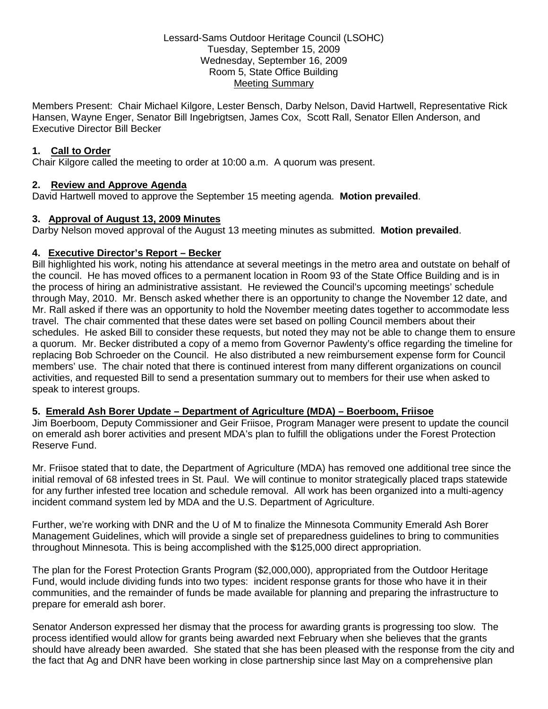### Lessard-Sams Outdoor Heritage Council (LSOHC) Tuesday, September 15, 2009 Wednesday, September 16, 2009 Room 5, State Office Building Meeting Summary

Members Present: Chair Michael Kilgore, Lester Bensch, Darby Nelson, David Hartwell, Representative Rick Hansen, Wayne Enger, Senator Bill Ingebrigtsen, James Cox, Scott Rall, Senator Ellen Anderson, and Executive Director Bill Becker

### **1. Call to Order**

Chair Kilgore called the meeting to order at 10:00 a.m. A quorum was present.

# **2. Review and Approve Agenda**

David Hartwell moved to approve the September 15 meeting agenda. **Motion prevailed**.

# **3. Approval of August 13, 2009 Minutes**

Darby Nelson moved approval of the August 13 meeting minutes as submitted. **Motion prevailed**.

# **4. Executive Director's Report – Becker**

Bill highlighted his work, noting his attendance at several meetings in the metro area and outstate on behalf of the council. He has moved offices to a permanent location in Room 93 of the State Office Building and is in the process of hiring an administrative assistant. He reviewed the Council's upcoming meetings' schedule through May, 2010. Mr. Bensch asked whether there is an opportunity to change the November 12 date, and Mr. Rall asked if there was an opportunity to hold the November meeting dates together to accommodate less travel. The chair commented that these dates were set based on polling Council members about their schedules. He asked Bill to consider these requests, but noted they may not be able to change them to ensure a quorum. Mr. Becker distributed a copy of a memo from Governor Pawlenty's office regarding the timeline for replacing Bob Schroeder on the Council. He also distributed a new reimbursement expense form for Council members' use. The chair noted that there is continued interest from many different organizations on council activities, and requested Bill to send a presentation summary out to members for their use when asked to speak to interest groups.

# **5. Emerald Ash Borer Update – Department of Agriculture (MDA) – Boerboom, Friisoe**

Jim Boerboom, Deputy Commissioner and Geir Friisoe, Program Manager were present to update the council on emerald ash borer activities and present MDA's plan to fulfill the obligations under the Forest Protection Reserve Fund.

Mr. Friisoe stated that to date, the Department of Agriculture (MDA) has removed one additional tree since the initial removal of 68 infested trees in St. Paul. We will continue to monitor strategically placed traps statewide for any further infested tree location and schedule removal. All work has been organized into a multi-agency incident command system led by MDA and the U.S. Department of Agriculture.

Further, we're working with DNR and the U of M to finalize the Minnesota Community Emerald Ash Borer Management Guidelines, which will provide a single set of preparedness guidelines to bring to communities throughout Minnesota. This is being accomplished with the \$125,000 direct appropriation.

The plan for the Forest Protection Grants Program (\$2,000,000), appropriated from the Outdoor Heritage Fund, would include dividing funds into two types: incident response grants for those who have it in their communities, and the remainder of funds be made available for planning and preparing the infrastructure to prepare for emerald ash borer.

Senator Anderson expressed her dismay that the process for awarding grants is progressing too slow. The process identified would allow for grants being awarded next February when she believes that the grants should have already been awarded. She stated that she has been pleased with the response from the city and the fact that Ag and DNR have been working in close partnership since last May on a comprehensive plan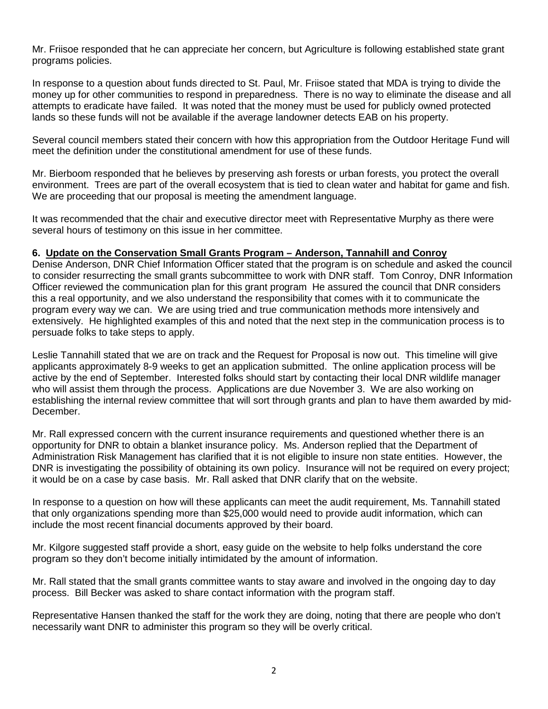Mr. Friisoe responded that he can appreciate her concern, but Agriculture is following established state grant programs policies.

In response to a question about funds directed to St. Paul, Mr. Friisoe stated that MDA is trying to divide the money up for other communities to respond in preparedness. There is no way to eliminate the disease and all attempts to eradicate have failed. It was noted that the money must be used for publicly owned protected lands so these funds will not be available if the average landowner detects EAB on his property.

Several council members stated their concern with how this appropriation from the Outdoor Heritage Fund will meet the definition under the constitutional amendment for use of these funds.

Mr. Bierboom responded that he believes by preserving ash forests or urban forests, you protect the overall environment. Trees are part of the overall ecosystem that is tied to clean water and habitat for game and fish. We are proceeding that our proposal is meeting the amendment language.

It was recommended that the chair and executive director meet with Representative Murphy as there were several hours of testimony on this issue in her committee.

### **6. Update on the Conservation Small Grants Program – Anderson, Tannahill and Conroy**

Denise Anderson, DNR Chief Information Officer stated that the program is on schedule and asked the council to consider resurrecting the small grants subcommittee to work with DNR staff. Tom Conroy, DNR Information Officer reviewed the communication plan for this grant program He assured the council that DNR considers this a real opportunity, and we also understand the responsibility that comes with it to communicate the program every way we can. We are using tried and true communication methods more intensively and extensively. He highlighted examples of this and noted that the next step in the communication process is to persuade folks to take steps to apply.

Leslie Tannahill stated that we are on track and the Request for Proposal is now out. This timeline will give applicants approximately 8-9 weeks to get an application submitted. The online application process will be active by the end of September. Interested folks should start by contacting their local DNR wildlife manager who will assist them through the process. Applications are due November 3. We are also working on establishing the internal review committee that will sort through grants and plan to have them awarded by mid-December.

Mr. Rall expressed concern with the current insurance requirements and questioned whether there is an opportunity for DNR to obtain a blanket insurance policy. Ms. Anderson replied that the Department of Administration Risk Management has clarified that it is not eligible to insure non state entities. However, the DNR is investigating the possibility of obtaining its own policy. Insurance will not be required on every project; it would be on a case by case basis. Mr. Rall asked that DNR clarify that on the website.

In response to a question on how will these applicants can meet the audit requirement, Ms. Tannahill stated that only organizations spending more than \$25,000 would need to provide audit information, which can include the most recent financial documents approved by their board.

Mr. Kilgore suggested staff provide a short, easy guide on the website to help folks understand the core program so they don't become initially intimidated by the amount of information.

Mr. Rall stated that the small grants committee wants to stay aware and involved in the ongoing day to day process. Bill Becker was asked to share contact information with the program staff.

Representative Hansen thanked the staff for the work they are doing, noting that there are people who don't necessarily want DNR to administer this program so they will be overly critical.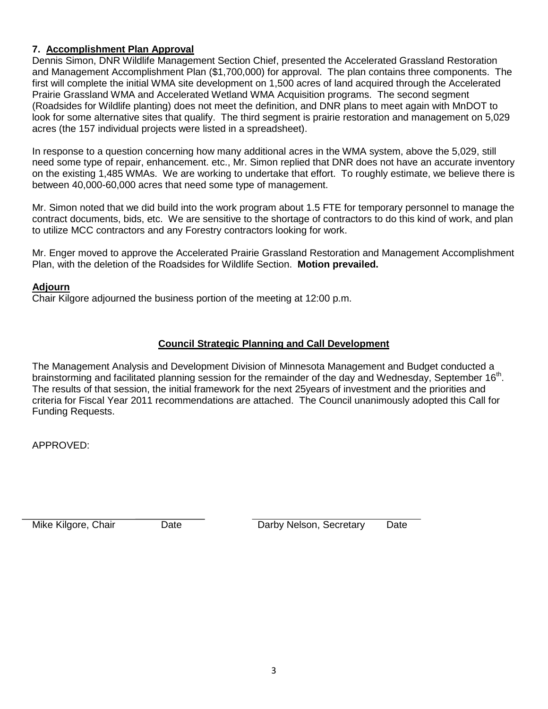# **7. Accomplishment Plan Approval**

Dennis Simon, DNR Wildlife Management Section Chief, presented the Accelerated Grassland Restoration and Management Accomplishment Plan (\$1,700,000) for approval. The plan contains three components. The first will complete the initial WMA site development on 1,500 acres of land acquired through the Accelerated Prairie Grassland WMA and Accelerated Wetland WMA Acquisition programs. The second segment (Roadsides for Wildlife planting) does not meet the definition, and DNR plans to meet again with MnDOT to look for some alternative sites that qualify. The third segment is prairie restoration and management on 5,029 acres (the 157 individual projects were listed in a spreadsheet).

In response to a question concerning how many additional acres in the WMA system, above the 5,029, still need some type of repair, enhancement. etc., Mr. Simon replied that DNR does not have an accurate inventory on the existing 1,485 WMAs. We are working to undertake that effort. To roughly estimate, we believe there is between 40,000-60,000 acres that need some type of management.

Mr. Simon noted that we did build into the work program about 1.5 FTE for temporary personnel to manage the contract documents, bids, etc. We are sensitive to the shortage of contractors to do this kind of work, and plan to utilize MCC contractors and any Forestry contractors looking for work.

Mr. Enger moved to approve the Accelerated Prairie Grassland Restoration and Management Accomplishment Plan, with the deletion of the Roadsides for Wildlife Section. **Motion prevailed.**

### **Adjourn**

Chair Kilgore adjourned the business portion of the meeting at 12:00 p.m.

### **Council Strategic Planning and Call Development**

The Management Analysis and Development Division of Minnesota Management and Budget conducted a brainstorming and facilitated planning session for the remainder of the day and Wednesday, September  $16<sup>th</sup>$ . The results of that session, the initial framework for the next 25years of investment and the priorities and criteria for Fiscal Year 2011 recommendations are attached. The Council unanimously adopted this Call for Funding Requests.

APPROVED:

Mike Kilgore, Chair Date Darby Nelson, Secretary Date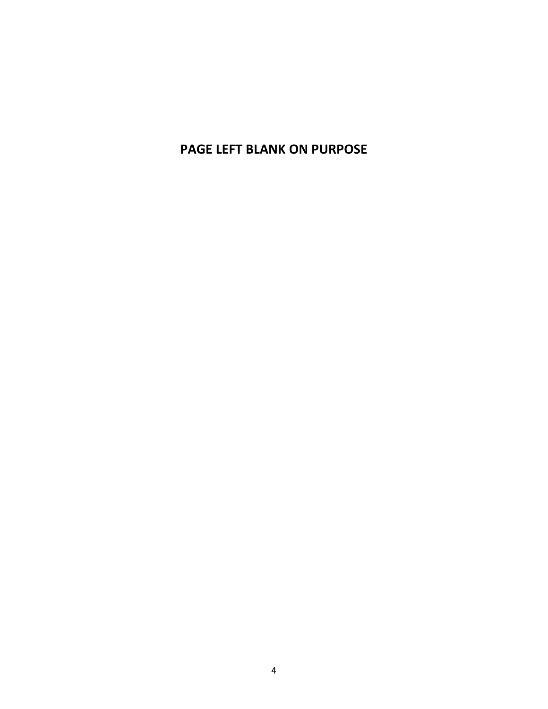**PAGE LEFT BLANK ON PURPOSE**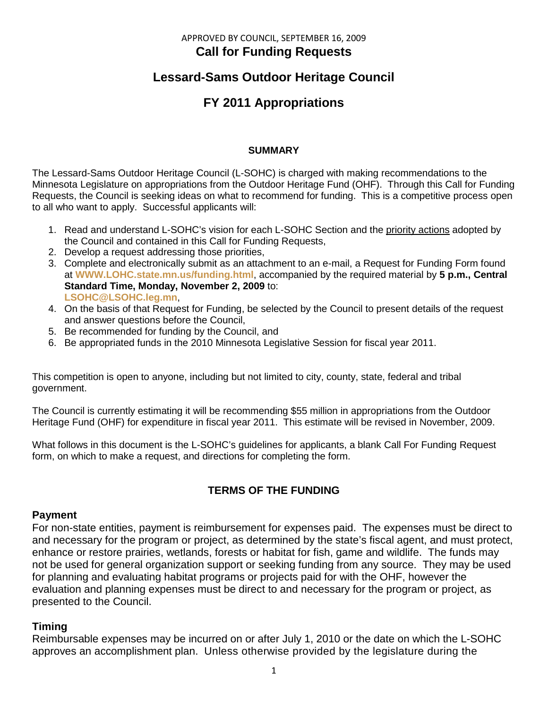# APPROVED BY COUNCIL, SEPTEMBER 16, 2009 **Call for Funding Requests**

# **Lessard-Sams Outdoor Heritage Council**

# **FY 2011 Appropriations**

# **SUMMARY**

The Lessard-Sams Outdoor Heritage Council (L-SOHC) is charged with making recommendations to the Minnesota Legislature on appropriations from the Outdoor Heritage Fund (OHF). Through this Call for Funding Requests, the Council is seeking ideas on what to recommend for funding. This is a competitive process open to all who want to apply. Successful applicants will:

- 1. Read and understand L-SOHC's vision for each L-SOHC Section and the priority actions adopted by the Council and contained in this Call for Funding Requests,
- 2. Develop a request addressing those priorities,
- 3. Complete and electronically submit as an attachment to an e-mail, a Request for Funding Form found at **[WWW.LOHC.state.mn.us/funding.html](http://www.lohc.state.mn.us/funding.html)**, accompanied by the required material by **5 p.m., Central Standard Time, Monday, November 2, 2009** to: **[LSOHC@LSOHC.leg.mn](mailto:LSOHC@LSOHC.leg.mn)**,
- 4. On the basis of that Request for Funding, be selected by the Council to present details of the request and answer questions before the Council,
- 5. Be recommended for funding by the Council, and
- 6. Be appropriated funds in the 2010 Minnesota Legislative Session for fiscal year 2011.

This competition is open to anyone, including but not limited to city, county, state, federal and tribal government.

The Council is currently estimating it will be recommending \$55 million in appropriations from the Outdoor Heritage Fund (OHF) for expenditure in fiscal year 2011. This estimate will be revised in November, 2009.

What follows in this document is the L-SOHC's guidelines for applicants, a blank Call For Funding Request form, on which to make a request, and directions for completing the form.

# **TERMS OF THE FUNDING**

# **Payment**

For non-state entities, payment is reimbursement for expenses paid. The expenses must be direct to and necessary for the program or project, as determined by the state's fiscal agent, and must protect, enhance or restore prairies, wetlands, forests or habitat for fish, game and wildlife. The funds may not be used for general organization support or seeking funding from any source. They may be used for planning and evaluating habitat programs or projects paid for with the OHF, however the evaluation and planning expenses must be direct to and necessary for the program or project, as presented to the Council.

# **Timing**

Reimbursable expenses may be incurred on or after July 1, 2010 or the date on which the L-SOHC approves an accomplishment plan. Unless otherwise provided by the legislature during the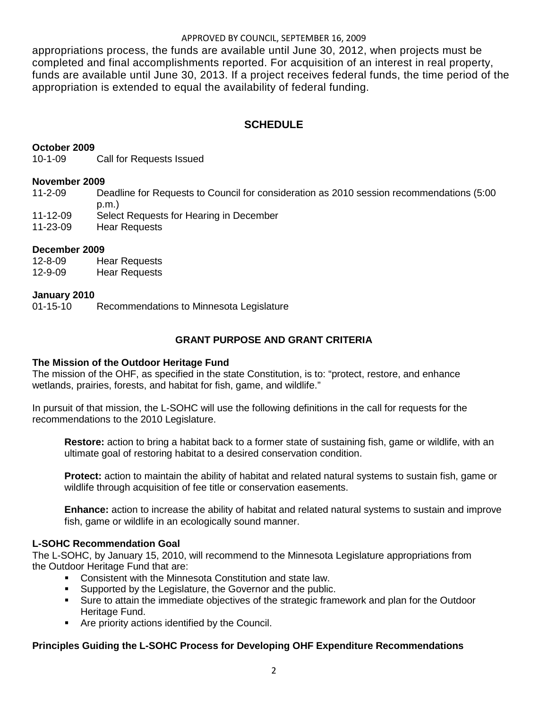#### APPROVED BY COUNCIL, SEPTEMBER 16, 2009

appropriations process, the funds are available until June 30, 2012, when projects must be completed and final accomplishments reported. For acquisition of an interest in real property, funds are available until June 30, 2013. If a project receives federal funds, the time period of the appropriation is extended to equal the availability of federal funding.

# **SCHEDULE**

### **October 2009**

10-1-09 Call for Requests Issued

#### **November 2009**

11-2-09 Deadline for Requests to Council for consideration as 2010 session recommendations (5:00 p.m.)

- 11-12-09 Select Requests for Hearing in December
- 11-23-09 Hear Requests

### **December 2009**

12-8-09 Hear Requests 12-9-09 Hear Requests

# **January 2010**

Recommendations to Minnesota Legislature

# **GRANT PURPOSE AND GRANT CRITERIA**

#### **The Mission of the Outdoor Heritage Fund**

The mission of the OHF, as specified in the state Constitution, is to: "protect, restore, and enhance wetlands, prairies, forests, and habitat for fish, game, and wildlife."

In pursuit of that mission, the L-SOHC will use the following definitions in the call for requests for the recommendations to the 2010 Legislature.

**Restore:** action to bring a habitat back to a former state of sustaining fish, game or wildlife, with an ultimate goal of restoring habitat to a desired conservation condition.

**Protect:** action to maintain the ability of habitat and related natural systems to sustain fish, game or wildlife through acquisition of fee title or conservation easements.

**Enhance:** action to increase the ability of habitat and related natural systems to sustain and improve fish, game or wildlife in an ecologically sound manner.

#### **L-SOHC Recommendation Goal**

The L-SOHC, by January 15, 2010, will recommend to the Minnesota Legislature appropriations from the Outdoor Heritage Fund that are:

- Consistent with the Minnesota Constitution and state law.
- Supported by the Legislature, the Governor and the public.
- **Sure to attain the immediate objectives of the strategic framework and plan for the Outdoor** Heritage Fund.
- **Are priority actions identified by the Council.**

### **Principles Guiding the L-SOHC Process for Developing OHF Expenditure Recommendations**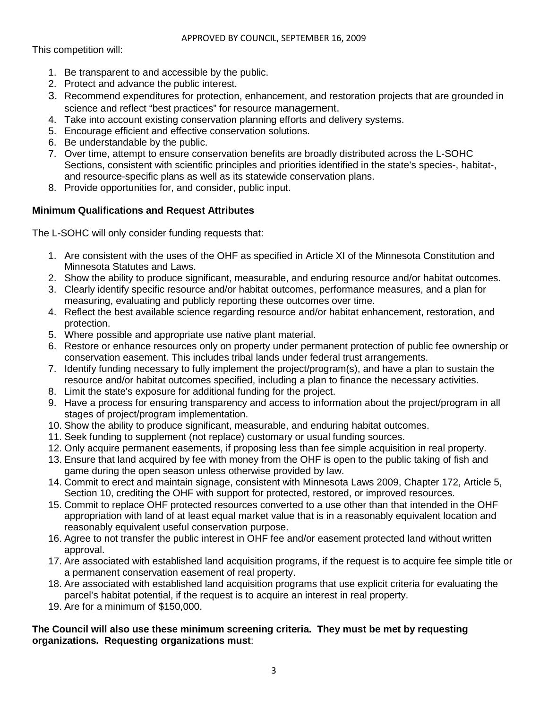This competition will:

- 1. Be transparent to and accessible by the public.
- 2. Protect and advance the public interest.
- 3. Recommend expenditures for protection, enhancement, and restoration projects that are grounded in science and reflect "best practices" for resource management.
- 4. Take into account existing conservation planning efforts and delivery systems.
- 5. Encourage efficient and effective conservation solutions.
- 6. Be understandable by the public.
- 7. Over time, attempt to ensure conservation benefits are broadly distributed across the L-SOHC Sections, consistent with scientific principles and priorities identified in the state's species-, habitat-, and resource-specific plans as well as its statewide conservation plans.
- 8. Provide opportunities for, and consider, public input.

# **Minimum Qualifications and Request Attributes**

The L-SOHC will only consider funding requests that:

- 1. Are consistent with the uses of the OHF as specified in Article XI of the Minnesota Constitution and Minnesota Statutes and Laws.
- 2. Show the ability to produce significant, measurable, and enduring resource and/or habitat outcomes.
- 3. Clearly identify specific resource and/or habitat outcomes, performance measures, and a plan for measuring, evaluating and publicly reporting these outcomes over time.
- 4. Reflect the best available science regarding resource and/or habitat enhancement, restoration, and protection.
- 5. Where possible and appropriate use native plant material.
- 6. Restore or enhance resources only on property under permanent protection of public fee ownership or conservation easement. This includes tribal lands under federal trust arrangements.
- 7. Identify funding necessary to fully implement the project/program(s), and have a plan to sustain the resource and/or habitat outcomes specified, including a plan to finance the necessary activities.
- 8. Limit the state's exposure for additional funding for the project.
- 9. Have a process for ensuring transparency and access to information about the project/program in all stages of project/program implementation.
- 10. Show the ability to produce significant, measurable, and enduring habitat outcomes.
- 11. Seek funding to supplement (not replace) customary or usual funding sources.
- 12. Only acquire permanent easements, if proposing less than fee simple acquisition in real property.
- 13. Ensure that land acquired by fee with money from the OHF is open to the public taking of fish and game during the open season unless otherwise provided by law.
- 14. Commit to erect and maintain signage, consistent with Minnesota Laws 2009, Chapter 172, Article 5, Section 10, crediting the OHF with support for protected, restored, or improved resources.
- 15. Commit to replace OHF protected resources converted to a use other than that intended in the OHF appropriation with land of at least equal market value that is in a reasonably equivalent location and reasonably equivalent useful conservation purpose.
- 16. Agree to not transfer the public interest in OHF fee and/or easement protected land without written approval.
- 17. Are associated with established land acquisition programs, if the request is to acquire fee simple title or a permanent conservation easement of real property.
- 18. Are associated with established land acquisition programs that use explicit criteria for evaluating the parcel's habitat potential, if the request is to acquire an interest in real property.
- 19. Are for a minimum of \$150,000.

# **The Council will also use these minimum screening criteria. They must be met by requesting organizations. Requesting organizations must**: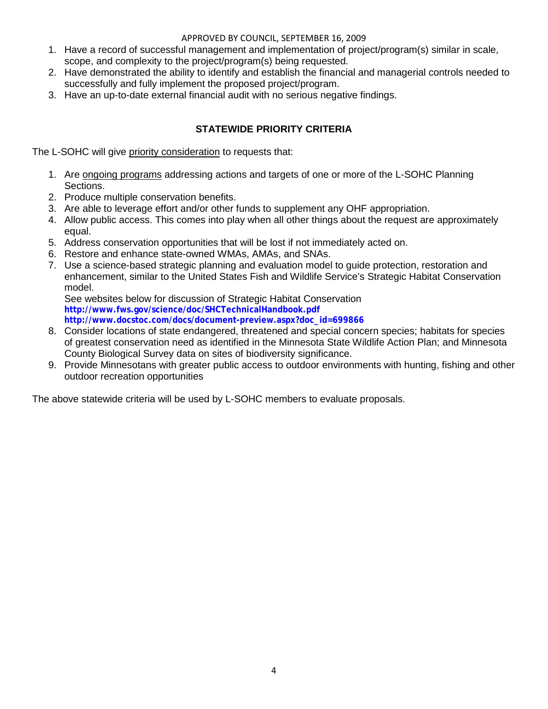### APPROVED BY COUNCIL, SEPTEMBER 16, 2009

- 1. Have a record of successful management and implementation of project/program(s) similar in scale, scope, and complexity to the project/program(s) being requested.
- 2. Have demonstrated the ability to identify and establish the financial and managerial controls needed to successfully and fully implement the proposed project/program.
- 3. Have an up-to-date external financial audit with no serious negative findings.

# **STATEWIDE PRIORITY CRITERIA**

The L-SOHC will give priority consideration to requests that:

- 1. Are ongoing programs addressing actions and targets of one or more of the L-SOHC Planning Sections.
- 2. Produce multiple conservation benefits.
- 3. Are able to leverage effort and/or other funds to supplement any OHF appropriation.
- 4. Allow public access. This comes into play when all other things about the request are approximately equal.
- 5. Address conservation opportunities that will be lost if not immediately acted on.
- 6. Restore and enhance state-owned WMAs, AMAs, and SNAs.
- 7. Use a science-based strategic planning and evaluation model to guide protection, restoration and enhancement, similar to the United States Fish and Wildlife Service's Strategic Habitat Conservation model.

See websites below for discussion of Strategic Habitat Conservation **<http://www.fws.gov/science/doc/SHCTechnicalHandbook.pdf> [http://www.docstoc.com/docs/document-preview.aspx?doc\\_id=699866](http://www.docstoc.com/docs/document-preview.aspx?doc_id=699866)**

- 8. Consider locations of state endangered, threatened and special concern species; habitats for species of greatest conservation need as identified in the Minnesota State Wildlife Action Plan; and Minnesota County Biological Survey data on sites of biodiversity significance.
- 9. Provide Minnesotans with greater public access to outdoor environments with hunting, fishing and other outdoor recreation opportunities

The above statewide criteria will be used by L-SOHC members to evaluate proposals.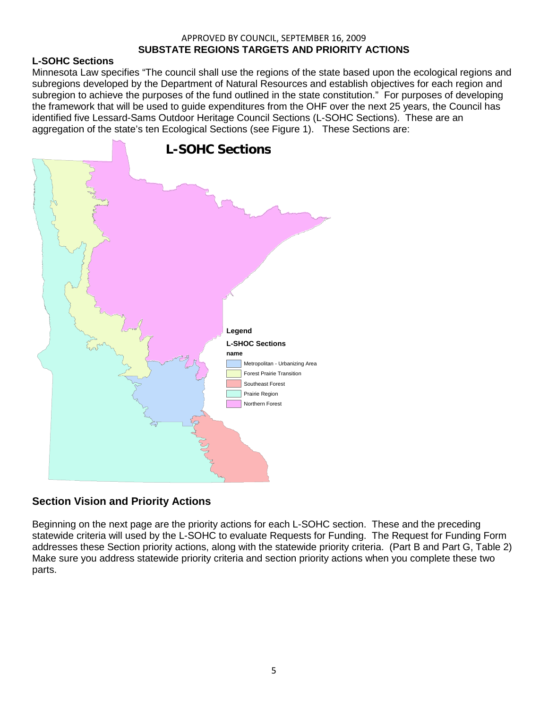#### APPROVED BY COUNCIL, SEPTEMBER 16, 2009 **SUBSTATE REGIONS TARGETS AND PRIORITY ACTIONS**

# **L-SOHC Sections**

Minnesota Law specifies "The council shall use the regions of the state based upon the ecological regions and subregions developed by the Department of Natural Resources and establish objectives for each region and subregion to achieve the purposes of the fund outlined in the state constitution." For purposes of developing the framework that will be used to guide expenditures from the OHF over the next 25 years, the Council has identified five Lessard-Sams Outdoor Heritage Council Sections (L-SOHC Sections). These are an aggregation of the state's ten Ecological Sections (see Figure 1). These Sections are:



# **Section Vision and Priority Actions**

Beginning on the next page are the priority actions for each L-SOHC section. These and the preceding statewide criteria will used by the L-SOHC to evaluate Requests for Funding. The Request for Funding Form addresses these Section priority actions, along with the statewide priority criteria. (Part B and Part G, Table 2) Make sure you address statewide priority criteria and section priority actions when you complete these two parts.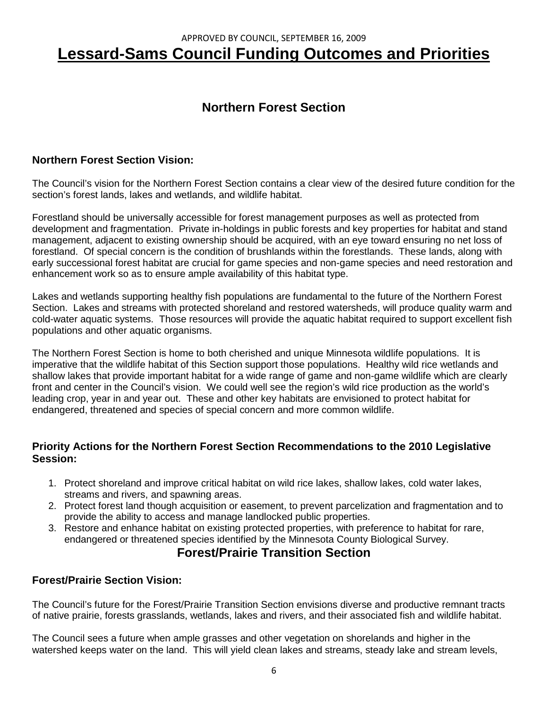# APPROVED BY COUNCIL, SEPTEMBER 16, 2009 **Lessard-Sams Council Funding Outcomes and Priorities**

# **Northern Forest Section**

# **Northern Forest Section Vision:**

The Council's vision for the Northern Forest Section contains a clear view of the desired future condition for the section's forest lands, lakes and wetlands, and wildlife habitat.

Forestland should be universally accessible for forest management purposes as well as protected from development and fragmentation. Private in-holdings in public forests and key properties for habitat and stand management, adjacent to existing ownership should be acquired, with an eye toward ensuring no net loss of forestland. Of special concern is the condition of brushlands within the forestlands. These lands, along with early successional forest habitat are crucial for game species and non-game species and need restoration and enhancement work so as to ensure ample availability of this habitat type.

Lakes and wetlands supporting healthy fish populations are fundamental to the future of the Northern Forest Section. Lakes and streams with protected shoreland and restored watersheds, will produce quality warm and cold-water aquatic systems. Those resources will provide the aquatic habitat required to support excellent fish populations and other aquatic organisms.

The Northern Forest Section is home to both cherished and unique Minnesota wildlife populations. It is imperative that the wildlife habitat of this Section support those populations. Healthy wild rice wetlands and shallow lakes that provide important habitat for a wide range of game and non-game wildlife which are clearly front and center in the Council's vision. We could well see the region's wild rice production as the world's leading crop, year in and year out. These and other key habitats are envisioned to protect habitat for endangered, threatened and species of special concern and more common wildlife.

# **Priority Actions for the Northern Forest Section Recommendations to the 2010 Legislative Session:**

- 1. Protect shoreland and improve critical habitat on wild rice lakes, shallow lakes, cold water lakes, streams and rivers, and spawning areas.
- 2. Protect forest land though acquisition or easement, to prevent parcelization and fragmentation and to provide the ability to access and manage landlocked public properties.
- 3. Restore and enhance habitat on existing protected properties, with preference to habitat for rare, endangered or threatened species identified by the Minnesota County Biological Survey.

# **Forest/Prairie Transition Section**

# **Forest/Prairie Section Vision:**

The Council's future for the Forest/Prairie Transition Section envisions diverse and productive remnant tracts of native prairie, forests grasslands, wetlands, lakes and rivers, and their associated fish and wildlife habitat.

The Council sees a future when ample grasses and other vegetation on shorelands and higher in the watershed keeps water on the land. This will yield clean lakes and streams, steady lake and stream levels,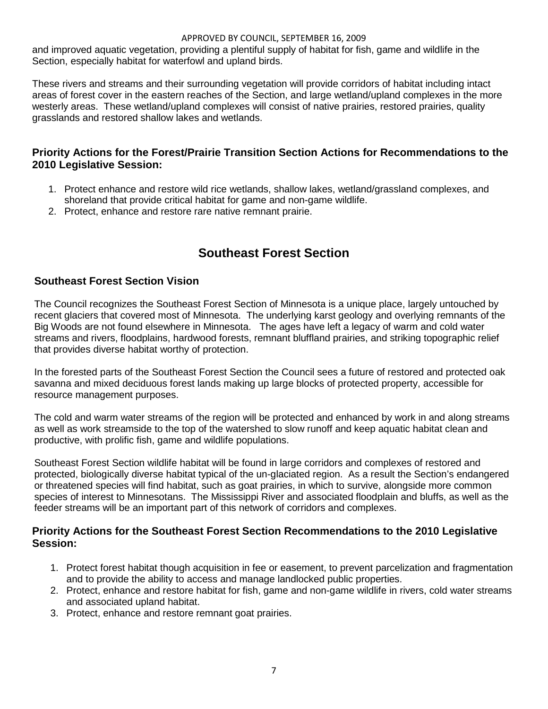#### APPROVED BY COUNCIL, SEPTEMBER 16, 2009

and improved aquatic vegetation, providing a plentiful supply of habitat for fish, game and wildlife in the Section, especially habitat for waterfowl and upland birds.

These rivers and streams and their surrounding vegetation will provide corridors of habitat including intact areas of forest cover in the eastern reaches of the Section, and large wetland/upland complexes in the more westerly areas. These wetland/upland complexes will consist of native prairies, restored prairies, quality grasslands and restored shallow lakes and wetlands.

# **Priority Actions for the Forest/Prairie Transition Section Actions for Recommendations to the 2010 Legislative Session:**

- 1. Protect enhance and restore wild rice wetlands, shallow lakes, wetland/grassland complexes, and shoreland that provide critical habitat for game and non-game wildlife.
- 2. Protect, enhance and restore rare native remnant prairie.

# **Southeast Forest Section**

# **Southeast Forest Section Vision**

The Council recognizes the Southeast Forest Section of Minnesota is a unique place, largely untouched by recent glaciers that covered most of Minnesota. The underlying karst geology and overlying remnants of the Big Woods are not found elsewhere in Minnesota. The ages have left a legacy of warm and cold water streams and rivers, floodplains, hardwood forests, remnant bluffland prairies, and striking topographic relief that provides diverse habitat worthy of protection.

In the forested parts of the Southeast Forest Section the Council sees a future of restored and protected oak savanna and mixed deciduous forest lands making up large blocks of protected property, accessible for resource management purposes.

The cold and warm water streams of the region will be protected and enhanced by work in and along streams as well as work streamside to the top of the watershed to slow runoff and keep aquatic habitat clean and productive, with prolific fish, game and wildlife populations.

Southeast Forest Section wildlife habitat will be found in large corridors and complexes of restored and protected, biologically diverse habitat typical of the un-glaciated region. As a result the Section's endangered or threatened species will find habitat, such as goat prairies, in which to survive, alongside more common species of interest to Minnesotans. The Mississippi River and associated floodplain and bluffs, as well as the feeder streams will be an important part of this network of corridors and complexes.

# **Priority Actions for the Southeast Forest Section Recommendations to the 2010 Legislative Session:**

- 1. Protect forest habitat though acquisition in fee or easement, to prevent parcelization and fragmentation and to provide the ability to access and manage landlocked public properties.
- 2. Protect, enhance and restore habitat for fish, game and non-game wildlife in rivers, cold water streams and associated upland habitat.
- 3. Protect, enhance and restore remnant goat prairies.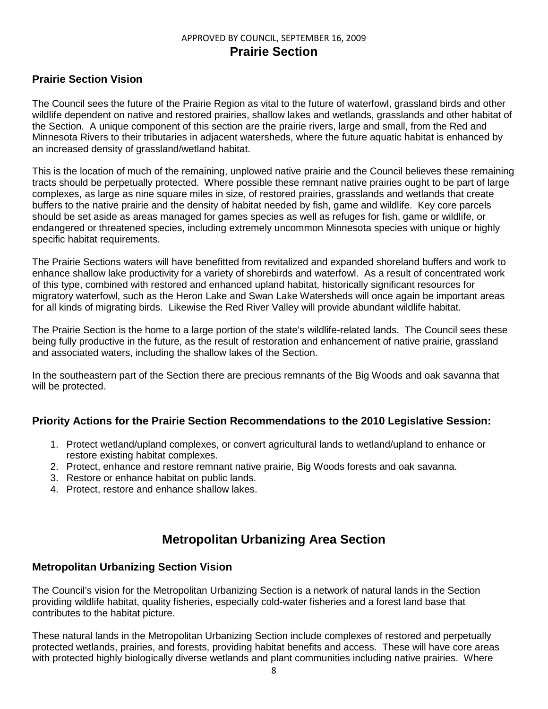# APPROVED BY COUNCIL, SEPTEMBER 16, 2009 **Prairie Section**

# **Prairie Section Vision**

The Council sees the future of the Prairie Region as vital to the future of waterfowl, grassland birds and other wildlife dependent on native and restored prairies, shallow lakes and wetlands, grasslands and other habitat of the Section. A unique component of this section are the prairie rivers, large and small, from the Red and Minnesota Rivers to their tributaries in adjacent watersheds, where the future aquatic habitat is enhanced by an increased density of grassland/wetland habitat.

This is the location of much of the remaining, unplowed native prairie and the Council believes these remaining tracts should be perpetually protected. Where possible these remnant native prairies ought to be part of large complexes, as large as nine square miles in size, of restored prairies, grasslands and wetlands that create buffers to the native prairie and the density of habitat needed by fish, game and wildlife. Key core parcels should be set aside as areas managed for games species as well as refuges for fish, game or wildlife, or endangered or threatened species, including extremely uncommon Minnesota species with unique or highly specific habitat requirements.

The Prairie Sections waters will have benefitted from revitalized and expanded shoreland buffers and work to enhance shallow lake productivity for a variety of shorebirds and waterfowl. As a result of concentrated work of this type, combined with restored and enhanced upland habitat, historically significant resources for migratory waterfowl, such as the Heron Lake and Swan Lake Watersheds will once again be important areas for all kinds of migrating birds. Likewise the Red River Valley will provide abundant wildlife habitat.

The Prairie Section is the home to a large portion of the state's wildlife-related lands. The Council sees these being fully productive in the future, as the result of restoration and enhancement of native prairie, grassland and associated waters, including the shallow lakes of the Section.

In the southeastern part of the Section there are precious remnants of the Big Woods and oak savanna that will be protected.

# **Priority Actions for the Prairie Section Recommendations to the 2010 Legislative Session:**

- 1. Protect wetland/upland complexes, or convert agricultural lands to wetland/upland to enhance or restore existing habitat complexes.
- 2. Protect, enhance and restore remnant native prairie, Big Woods forests and oak savanna.
- 3. Restore or enhance habitat on public lands.
- 4. Protect, restore and enhance shallow lakes.

# **Metropolitan Urbanizing Area Section**

### **Metropolitan Urbanizing Section Vision**

The Council's vision for the Metropolitan Urbanizing Section is a network of natural lands in the Section providing wildlife habitat, quality fisheries, especially cold-water fisheries and a forest land base that contributes to the habitat picture.

These natural lands in the Metropolitan Urbanizing Section include complexes of restored and perpetually protected wetlands, prairies, and forests, providing habitat benefits and access. These will have core areas with protected highly biologically diverse wetlands and plant communities including native prairies. Where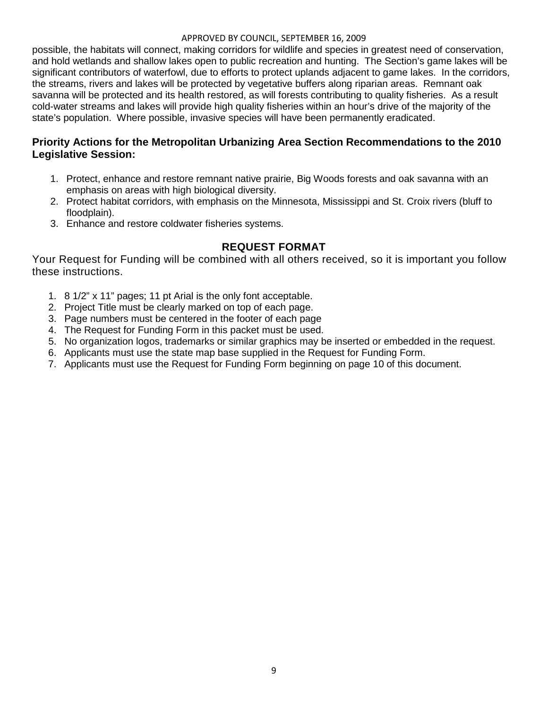#### APPROVED BY COUNCIL, SEPTEMBER 16, 2009

possible, the habitats will connect, making corridors for wildlife and species in greatest need of conservation, and hold wetlands and shallow lakes open to public recreation and hunting. The Section's game lakes will be significant contributors of waterfowl, due to efforts to protect uplands adjacent to game lakes. In the corridors, the streams, rivers and lakes will be protected by vegetative buffers along riparian areas. Remnant oak savanna will be protected and its health restored, as will forests contributing to quality fisheries. As a result cold-water streams and lakes will provide high quality fisheries within an hour's drive of the majority of the state's population. Where possible, invasive species will have been permanently eradicated.

# **Priority Actions for the Metropolitan Urbanizing Area Section Recommendations to the 2010 Legislative Session:**

- 1. Protect, enhance and restore remnant native prairie, Big Woods forests and oak savanna with an emphasis on areas with high biological diversity.
- 2. Protect habitat corridors, with emphasis on the Minnesota, Mississippi and St. Croix rivers (bluff to floodplain).
- 3. Enhance and restore coldwater fisheries systems.

# **REQUEST FORMAT**

Your Request for Funding will be combined with all others received, so it is important you follow these instructions.

- 1. 8 1/2" x 11" pages; 11 pt Arial is the only font acceptable.
- 2. Project Title must be clearly marked on top of each page.
- 3. Page numbers must be centered in the footer of each page
- 4. The Request for Funding Form in this packet must be used.
- 5. No organization logos, trademarks or similar graphics may be inserted or embedded in the request.
- 6. Applicants must use the state map base supplied in the Request for Funding Form.
- 7. Applicants must use the Request for Funding Form beginning on page 10 of this document.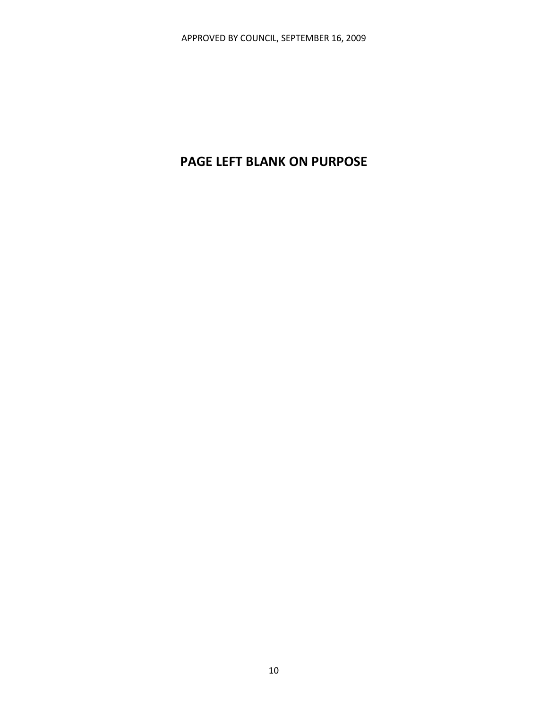# **PAGE LEFT BLANK ON PURPOSE**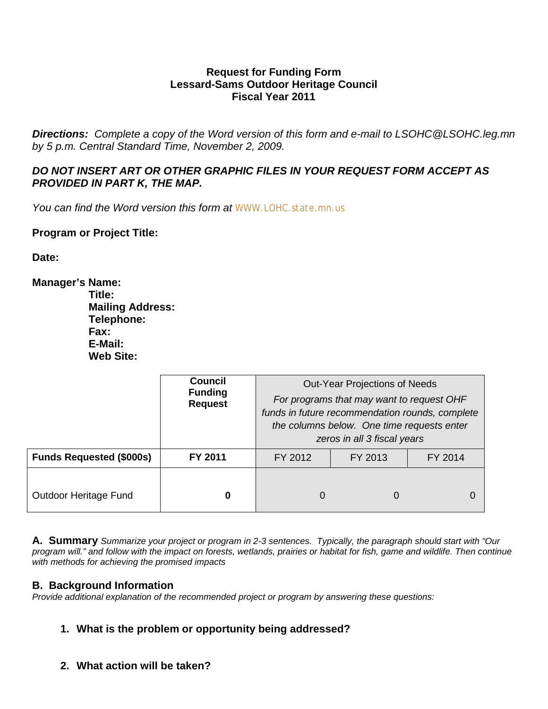# **Request for Funding Form Lessard-Sams Outdoor Heritage Council Fiscal Year 2011**

*Directions: Complete a copy of the Word version of this form and e-mail to LSOHC@LSOHC.leg.mn by 5 p.m. Central Standard Time, November 2, 2009.*

# *DO NOT INSERT ART OR OTHER GRAPHIC FILES IN YOUR REQUEST FORM ACCEPT AS PROVIDED IN PART K, THE MAP.*

*You can find the Word version this form at [WWW.LOHC.state.mn.us](http://www.lohc.state.mn.us/)*

# **Program or Project Title:**

**Date:**

**Manager's Name: Title: Mailing Address: Telephone: Fax: E-Mail: Web Site:**

|                                 | <b>Council</b><br><b>Funding</b><br><b>Request</b> | Out-Year Projections of Needs<br>For programs that may want to request OHF<br>funds in future recommendation rounds, complete<br>the columns below. One time requests enter<br>zeros in all 3 fiscal years |   |  |
|---------------------------------|----------------------------------------------------|------------------------------------------------------------------------------------------------------------------------------------------------------------------------------------------------------------|---|--|
| <b>Funds Requested (\$000s)</b> | FY 2011                                            | FY 2013<br>FY 2014<br>FY 2012                                                                                                                                                                              |   |  |
| Outdoor Heritage Fund           | 0                                                  | O                                                                                                                                                                                                          | O |  |

**A. Summary** *Summarize your project or program in 2-3 sentences. Typically, the paragraph should start with "Our program will." and follow with the impact on forests, wetlands, prairies or habitat for fish, game and wildlife. Then continue with methods for achieving the promised impacts*

# **B. Background Information**

*Provide additional explanation of the recommended project or program by answering these questions:*

# **1. What is the problem or opportunity being addressed?**

**2. What action will be taken?**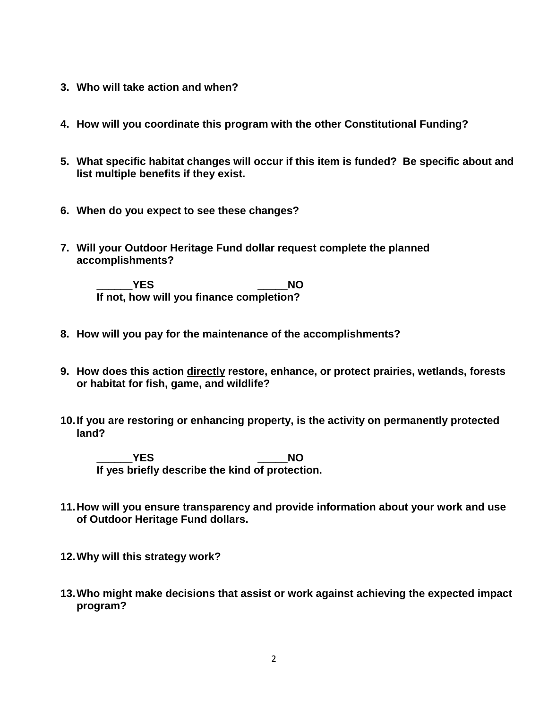- **3. Who will take action and when?**
- **4. How will you coordinate this program with the other Constitutional Funding?**
- **5. What specific habitat changes will occur if this item is funded? Be specific about and list multiple benefits if they exist.**
- **6. When do you expect to see these changes?**
- **7. Will your Outdoor Heritage Fund dollar request complete the planned accomplishments?**

**\_\_\_\_\_\_YES \_\_\_\_\_NO If not, how will you finance completion?**

- **8. How will you pay for the maintenance of the accomplishments?**
- **9. How does this action directly restore, enhance, or protect prairies, wetlands, forests or habitat for fish, game, and wildlife?**
- **10.If you are restoring or enhancing property, is the activity on permanently protected land?**

**\_\_\_\_\_\_YES \_\_\_\_\_NO If yes briefly describe the kind of protection.**

- **11.How will you ensure transparency and provide information about your work and use of Outdoor Heritage Fund dollars.**
- **12.Why will this strategy work?**
- **13.Who might make decisions that assist or work against achieving the expected impact program?**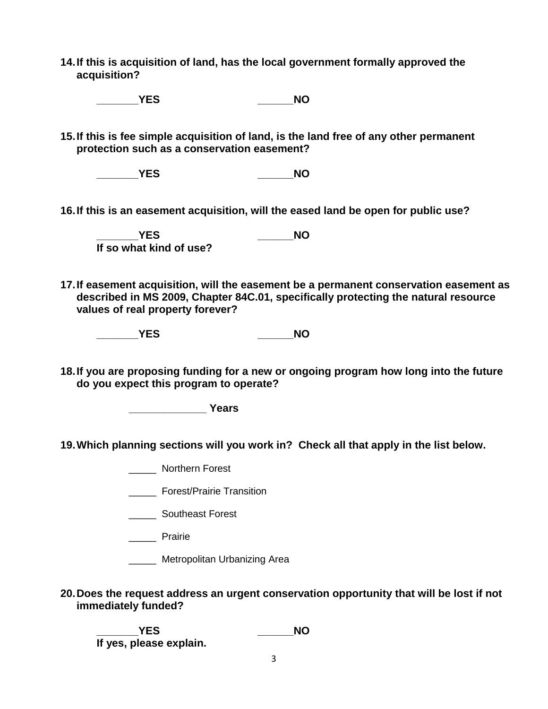**14.If this is acquisition of land, has the local government formally approved the acquisition?**

**\_\_\_\_\_\_\_YES \_\_\_\_\_\_NO**

**15.If this is fee simple acquisition of land, is the land free of any other permanent protection such as a conservation easement?**

**\_\_\_\_\_\_\_YES \_\_\_\_\_\_NO**

**16.If this is an easement acquisition, will the eased land be open for public use?** 

**\_\_\_\_\_\_\_YES \_\_\_\_\_\_NO If so what kind of use?**

- **17.If easement acquisition, will the easement be a permanent conservation easement as described in MS 2009, Chapter 84C.01, specifically protecting the natural resource values of real property forever?**
	- **\_\_\_\_\_\_\_YES \_\_\_\_\_\_NO**
- **18.If you are proposing funding for a new or ongoing program how long into the future do you expect this program to operate?**

**\_\_\_\_\_\_\_\_\_\_\_\_\_ Years**

- **19.Which planning sections will you work in? Check all that apply in the list below.**
	- \_\_\_\_\_ Northern Forest
	- \_\_\_\_\_ Forest/Prairie Transition
	- **\_\_\_\_\_\_** Southeast Forest
	- \_\_\_\_\_ Prairie
	- \_\_\_\_\_ Metropolitan Urbanizing Area
- **20.Does the request address an urgent conservation opportunity that will be lost if not immediately funded?**

**\_\_\_\_\_\_\_YES \_\_\_\_\_\_NO If yes, please explain.**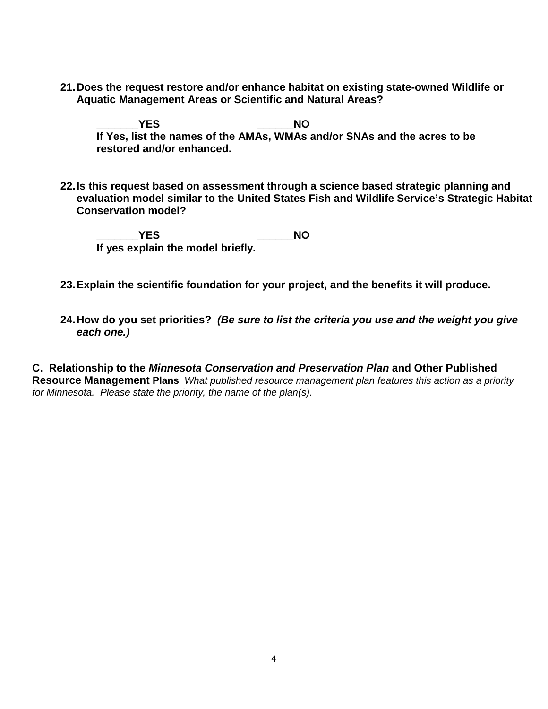**21.Does the request restore and/or enhance habitat on existing state-owned Wildlife or Aquatic Management Areas or Scientific and Natural Areas?** 

**\_\_\_\_\_\_\_YES \_\_\_\_\_\_NO If Yes, list the names of the AMAs, WMAs and/or SNAs and the acres to be restored and/or enhanced.**

**22.Is this request based on assessment through a science based strategic planning and evaluation model similar to the United States Fish and Wildlife Service's Strategic Habitat Conservation model?** 

**\_\_\_\_\_\_\_YES \_\_\_\_\_\_NO If yes explain the model briefly.**

- **23.Explain the scientific foundation for your project, and the benefits it will produce.**
- **24.How do you set priorities?** *(Be sure to list the criteria you use and the weight you give each one.)*

**C. Relationship to the** *Minnesota Conservation and Preservation Plan* **and Other Published Resource Management Plans** *What published resource management plan features this action as a priority for Minnesota. Please state the priority, the name of the plan(s).*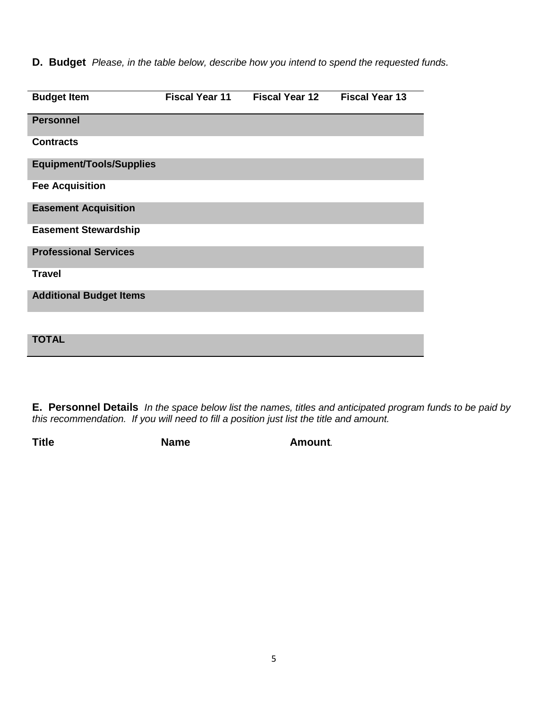**D. Budget** *Please, in the table below, describe how you intend to spend the requested funds.*

| <b>Budget Item</b>              | <b>Fiscal Year 11</b> | <b>Fiscal Year 12</b> | <b>Fiscal Year 13</b> |
|---------------------------------|-----------------------|-----------------------|-----------------------|
| <b>Personnel</b>                |                       |                       |                       |
| <b>Contracts</b>                |                       |                       |                       |
| <b>Equipment/Tools/Supplies</b> |                       |                       |                       |
| <b>Fee Acquisition</b>          |                       |                       |                       |
| <b>Easement Acquisition</b>     |                       |                       |                       |
| <b>Easement Stewardship</b>     |                       |                       |                       |
| <b>Professional Services</b>    |                       |                       |                       |
| <b>Travel</b>                   |                       |                       |                       |
| <b>Additional Budget Items</b>  |                       |                       |                       |
|                                 |                       |                       |                       |
| <b>TOTAL</b>                    |                       |                       |                       |

**E. Personnel Details** *In the space below list the names, titles and anticipated program funds to be paid by this recommendation. If you will need to fill a position just list the title and amount.*

**Title Name Amount***.*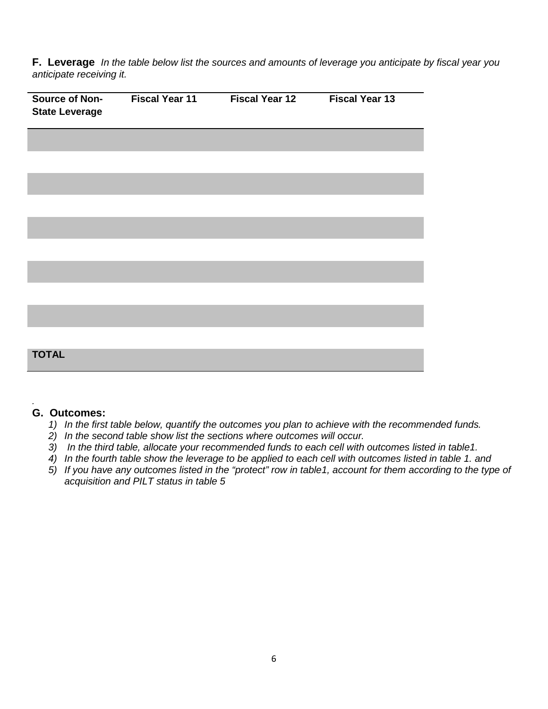**F. Leverage** *In the table below list the sources and amounts of leverage you anticipate by fiscal year you anticipate receiving it.*

| Source of Non-<br><b>State Leverage</b> | <b>Fiscal Year 11</b> | <b>Fiscal Year 12</b> | <b>Fiscal Year 13</b> |
|-----------------------------------------|-----------------------|-----------------------|-----------------------|
|                                         |                       |                       |                       |
|                                         |                       |                       |                       |
|                                         |                       |                       |                       |
|                                         |                       |                       |                       |
|                                         |                       |                       |                       |
|                                         |                       |                       |                       |
|                                         |                       |                       |                       |
|                                         |                       |                       |                       |
|                                         |                       |                       |                       |
| <b>TOTAL</b>                            |                       |                       |                       |
|                                         |                       |                       |                       |

#### *.* **G. Outcomes:**

- *1) In the first table below, quantify the outcomes you plan to achieve with the recommended funds.*
- *2) In the second table show list the sections where outcomes will occur.*
- *3) In the third table, allocate your recommended funds to each cell with outcomes listed in table1.*
- *4) In the fourth table show the leverage to be applied to each cell with outcomes listed in table 1. and*
- *5) If you have any outcomes listed in the "protect" row in table1, account for them according to the type of acquisition and PILT status in table 5*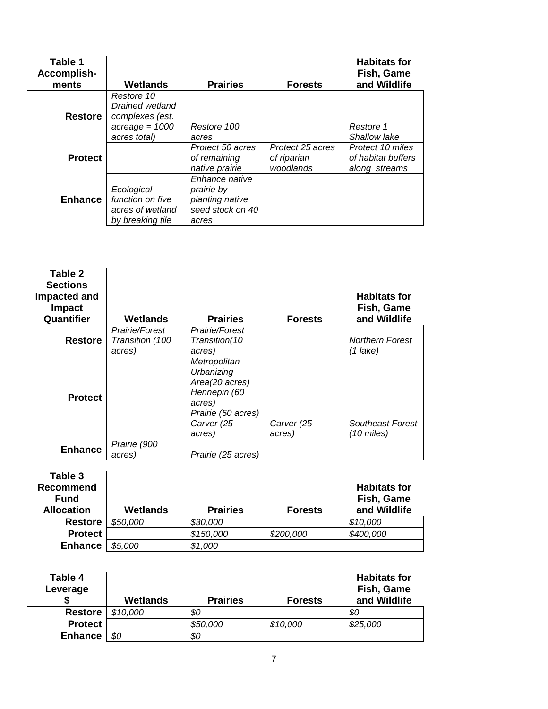| Table 1<br>Accomplish-<br>ments | Wetlands                                                                             | <b>Prairies</b>                                                              | <b>Forests</b>                               | <b>Habitats for</b><br>Fish, Game<br>and Wildlife       |
|---------------------------------|--------------------------------------------------------------------------------------|------------------------------------------------------------------------------|----------------------------------------------|---------------------------------------------------------|
| <b>Restore</b>                  | Restore 10<br>Drained wetland<br>complexes (est.<br>$acreage = 1000$<br>acres total) | Restore 100<br>acres                                                         |                                              | Restore 1<br>Shallow lake                               |
| <b>Protect</b>                  |                                                                                      | Protect 50 acres<br>of remaining<br>native prairie                           | Protect 25 acres<br>of riparian<br>woodlands | Protect 10 miles<br>of habitat buffers<br>along streams |
| <b>Enhance</b>                  | Ecological<br>function on five<br>acres of wetland<br>by breaking tile               | Enhance native<br>prairie by<br>planting native<br>seed stock on 40<br>acres |                                              |                                                         |

| Table 2<br><b>Sections</b><br>Impacted and<br><b>Impact</b><br>Quantifier | Wetlands                                    | <b>Prairies</b>                                                                                                      | <b>Forests</b>       | <b>Habitats for</b><br>Fish, Game<br>and Wildlife |
|---------------------------------------------------------------------------|---------------------------------------------|----------------------------------------------------------------------------------------------------------------------|----------------------|---------------------------------------------------|
| <b>Restore</b>                                                            | Prairie/Forest<br>Transition (100<br>acres) | Prairie/Forest<br>Transition(10<br>acres)                                                                            |                      | <b>Northern Forest</b><br>(1 lake)                |
| <b>Protect</b>                                                            |                                             | Metropolitan<br>Urbanizing<br>Area(20 acres)<br>Hennepin (60<br>acres)<br>Prairie (50 acres)<br>Carver (25<br>acres) | Carver (25<br>acres) | Southeast Forest<br>(10 miles)                    |
| <b>Enhance</b>                                                            | Prairie (900<br>acres)                      | Prairie (25 acres)                                                                                                   |                      |                                                   |
| Table 3                                                                   |                                             |                                                                                                                      |                      |                                                   |

| .<br>Recommend<br><b>Fund</b><br><b>Allocation</b> | Wetlands | <b>Prairies</b> | <b>Forests</b> | <b>Habitats for</b><br>Fish, Game<br>and Wildlife |
|----------------------------------------------------|----------|-----------------|----------------|---------------------------------------------------|
| <b>Restore</b>                                     | \$50,000 | \$30,000        |                | \$10,000                                          |
| <b>Protect</b>                                     |          | \$150,000       | \$200,000      | \$400,000                                         |
| <b>Enhance</b>                                     | \$5,000  | \$1,000         |                |                                                   |

| Table 4<br>Leverage | Wetlands | <b>Prairies</b> | <b>Forests</b> | <b>Habitats for</b><br>Fish, Game<br>and Wildlife |
|---------------------|----------|-----------------|----------------|---------------------------------------------------|
| <b>Restore</b>      | \$10,000 | \$0             |                | 80                                                |
| <b>Protect</b>      |          | \$50,000        | \$10,000       | \$25,000                                          |
| <b>Enhance</b>      | \$0      | \$0             |                |                                                   |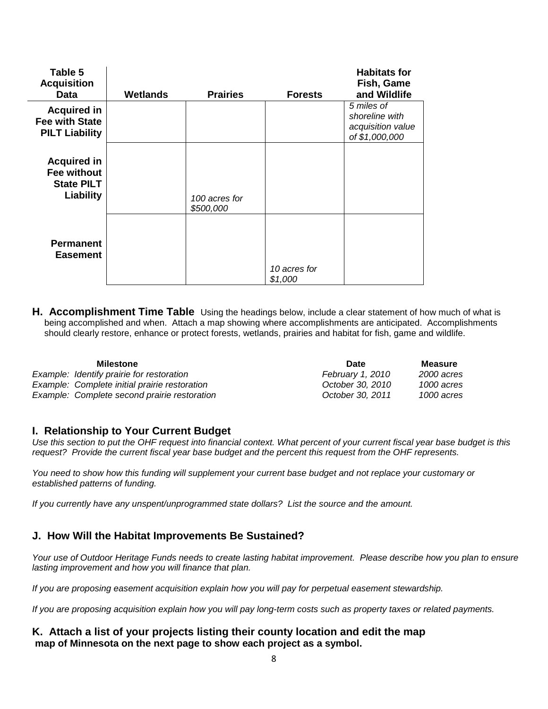| Table 5<br><b>Acquisition</b><br>Data                                | Wetlands | <b>Prairies</b>            | <b>Forests</b>          | <b>Habitats for</b><br>Fish, Game<br>and Wildlife                   |
|----------------------------------------------------------------------|----------|----------------------------|-------------------------|---------------------------------------------------------------------|
| <b>Acquired in</b><br><b>Fee with State</b><br><b>PILT Liability</b> |          |                            |                         | 5 miles of<br>shoreline with<br>acquisition value<br>of \$1,000,000 |
| <b>Acquired in</b><br>Fee without<br><b>State PILT</b><br>Liability  |          | 100 acres for<br>\$500,000 |                         |                                                                     |
| <b>Permanent</b><br><b>Easement</b>                                  |          |                            | 10 acres for<br>\$1,000 |                                                                     |

**H. Accomplishment Time Table** Using the headings below, include a clear statement of how much of what is being accomplished and when. Attach a map showing where accomplishments are anticipated. Accomplishments should clearly restore, enhance or protect forests, wetlands, prairies and habitat for fish, game and wildlife.

| <b>Milestone</b>                              | Date             | Measure    |
|-----------------------------------------------|------------------|------------|
| Example: Identify prairie for restoration     | February 1, 2010 | 2000 acres |
| Example: Complete initial prairie restoration | October 30, 2010 | 1000 acres |
| Example: Complete second prairie restoration  | October 30, 2011 | 1000 acres |

#### **I. Relationship to Your Current Budget**

*Use this section to put the OHF request into financial context. What percent of your current fiscal year base budget is this request? Provide the current fiscal year base budget and the percent this request from the OHF represents.*

*You need to show how this funding will supplement your current base budget and not replace your customary or established patterns of funding.* 

*If you currently have any unspent/unprogrammed state dollars? List the source and the amount.*

# **J. How Will the Habitat Improvements Be Sustained?**

*Your use of Outdoor Heritage Funds needs to create lasting habitat improvement. Please describe how you plan to ensure lasting improvement and how you will finance that plan.*

*If you are proposing easement acquisition explain how you will pay for perpetual easement stewardship.*

*If you are proposing acquisition explain how you will pay long-term costs such as property taxes or related payments.*

### **K. Attach a list of your projects listing their county location and edit the map map of Minnesota on the next page to show each project as a symbol.**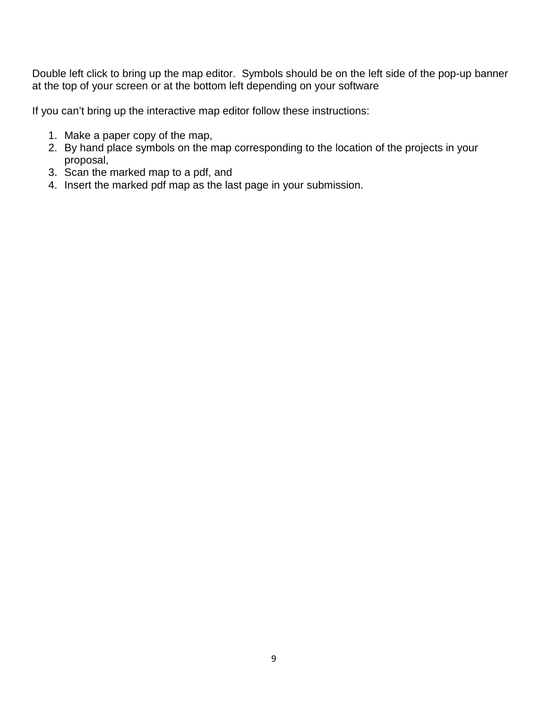Double left click to bring up the map editor. Symbols should be on the left side of the pop-up banner at the top of your screen or at the bottom left depending on your software

If you can't bring up the interactive map editor follow these instructions:

- 1. Make a paper copy of the map,
- 2. By hand place symbols on the map corresponding to the location of the projects in your proposal,
- 3. Scan the marked map to a pdf, and
- 4. Insert the marked pdf map as the last page in your submission.